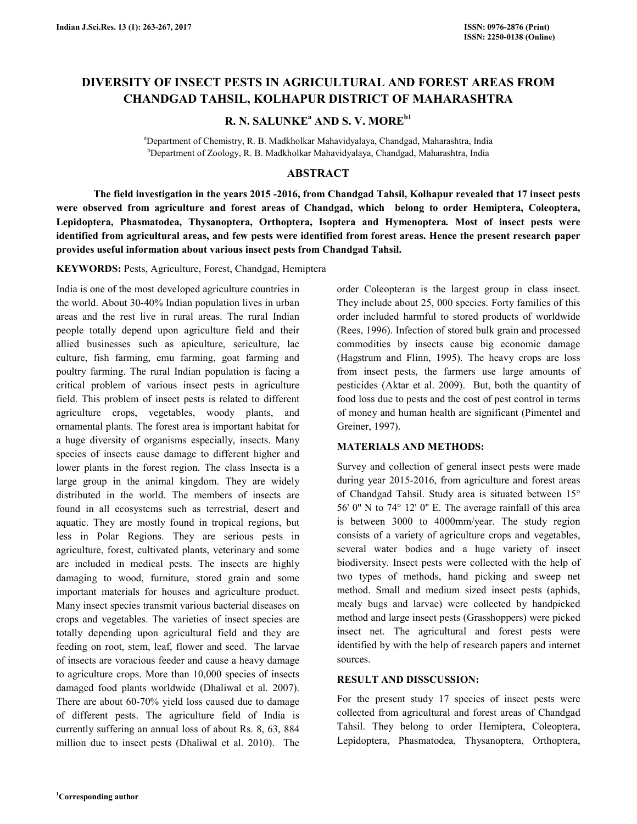# **DIVERSITY OF INSECT PESTS IN AGRICULTURAL AND FOREST AREAS FROM CHANDGAD TAHSIL, KOLHAPUR DISTRICT OF MAHARASHTRA**

# **R. N. SALUNKE<sup>a</sup> AND S. V. MOREb1**

<sup>a</sup>Department of Chemistry, R. B. Madkholkar Mahavidyalaya, Chandgad, Maharashtra, India <sup>b</sup>Department of Zoology, R. B. Madkholkar Mahavidyalaya, Chandgad, Maharashtra, India

#### **ABSTRACT**

 **The field investigation in the years 2015 -2016, from Chandgad Tahsil, Kolhapur revealed that 17 insect pests were observed from agriculture and forest areas of Chandgad, which belong to order Hemiptera, Coleoptera, Lepidoptera, Phasmatodea, Thysanoptera, Orthoptera, Isoptera and Hymenoptera***.* **Most of insect pests were identified from agricultural areas, and few pests were identified from forest areas. Hence the present research paper provides useful information about various insect pests from Chandgad Tahsil.** 

**KEYWORDS:** Pests, Agriculture, Forest, Chandgad, Hemiptera

India is one of the most developed agriculture countries in the world. About 30-40% Indian population lives in urban areas and the rest live in rural areas. The rural Indian people totally depend upon agriculture field and their allied businesses such as apiculture, sericulture, lac culture, fish farming, emu farming, goat farming and poultry farming. The rural Indian population is facing a critical problem of various insect pests in agriculture field. This problem of insect pests is related to different agriculture crops, vegetables, woody plants, and ornamental plants. The forest area is important habitat for a huge diversity of organisms especially, insects. Many species of insects cause damage to different higher and lower plants in the forest region. The class Insecta is a large group in the animal kingdom. They are widely distributed in the world. The members of insects are found in all ecosystems such as terrestrial, desert and aquatic. They are mostly found in tropical regions, but less in Polar Regions. They are serious pests in agriculture, forest, cultivated plants, veterinary and some are included in medical pests. The insects are highly damaging to wood, furniture, stored grain and some important materials for houses and agriculture product. Many insect species transmit various bacterial diseases on crops and vegetables. The varieties of insect species are totally depending upon agricultural field and they are feeding on root, stem, leaf, flower and seed. The larvae of insects are voracious feeder and cause a heavy damage to agriculture crops. More than 10,000 species of insects damaged food plants worldwide (Dhaliwal et al. 2007). There are about 60-70% yield loss caused due to damage of different pests. The agriculture field of India is currently suffering an annual loss of about Rs. 8, 63, 884 million due to insect pests (Dhaliwal et al. 2010). The order Coleopteran is the largest group in class insect. They include about 25, 000 species. Forty families of this order included harmful to stored products of worldwide (Rees, 1996). Infection of stored bulk grain and processed commodities by insects cause big economic damage (Hagstrum and Flinn, 1995). The heavy crops are loss from insect pests, the farmers use large amounts of pesticides (Aktar et al. 2009). But, both the quantity of food loss due to pests and the cost of pest control in terms of money and human health are significant (Pimentel and Greiner, 1997).

#### **MATERIALS AND METHODS:**

Survey and collection of general insect pests were made during year 2015-2016, from agriculture and forest areas of Chandgad Tahsil. Study area is situated between 15° 56' 0'' N to 74° 12' 0'' E. The average rainfall of this area is between 3000 to 4000mm/year. The study region consists of a variety of agriculture crops and vegetables, several water bodies and a huge variety of insect biodiversity. Insect pests were collected with the help of two types of methods, hand picking and sweep net method. Small and medium sized insect pests (aphids, mealy bugs and larvae) were collected by handpicked method and large insect pests (Grasshoppers) were picked insect net. The agricultural and forest pests were identified by with the help of research papers and internet sources.

#### **RESULT AND DISSCUSSION:**

For the present study 17 species of insect pests were collected from agricultural and forest areas of Chandgad Tahsil. They belong to order Hemiptera, Coleoptera, Lepidoptera, Phasmatodea, Thysanoptera, Orthoptera,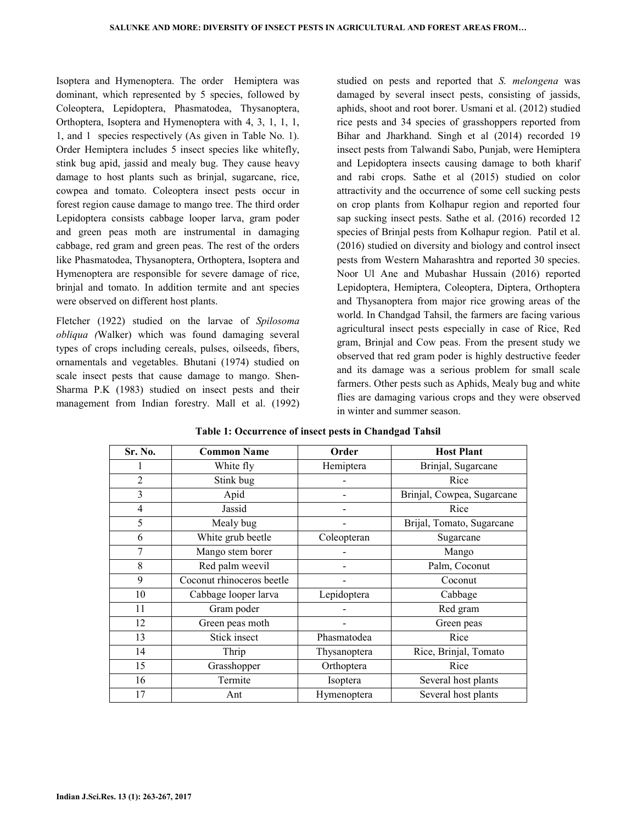Isoptera and Hymenoptera. The order Hemiptera was dominant, which represented by 5 species, followed by Coleoptera, Lepidoptera, Phasmatodea, Thysanoptera, Orthoptera, Isoptera and Hymenoptera with 4, 3, 1, 1, 1, 1, and 1 species respectively (As given in Table No. 1). Order Hemiptera includes 5 insect species like whitefly, stink bug apid, jassid and mealy bug. They cause heavy damage to host plants such as brinjal, sugarcane, rice, cowpea and tomato. Coleoptera insect pests occur in forest region cause damage to mango tree. The third order Lepidoptera consists cabbage looper larva, gram poder and green peas moth are instrumental in damaging cabbage, red gram and green peas. The rest of the orders like Phasmatodea, Thysanoptera, Orthoptera, Isoptera and Hymenoptera are responsible for severe damage of rice, brinjal and tomato. In addition termite and ant species were observed on different host plants.

Fletcher (1922) studied on the larvae of *Spilosoma obliqua (*Walker) which was found damaging several types of crops including cereals, pulses, oilseeds, fibers, ornamentals and vegetables. Bhutani (1974) studied on scale insect pests that cause damage to mango. Shen-Sharma P.K (1983) studied on insect pests and their management from Indian forestry. Mall et al. (1992)

studied on pests and reported that *S. melongena* was damaged by several insect pests, consisting of jassids, aphids, shoot and root borer. Usmani et al. (2012) studied rice pests and 34 species of grasshoppers reported from Bihar and Jharkhand. Singh et al (2014) recorded 19 insect pests from Talwandi Sabo, Punjab, were Hemiptera and Lepidoptera insects causing damage to both kharif and rabi crops. Sathe et al (2015) studied on color attractivity and the occurrence of some cell sucking pests on crop plants from Kolhapur region and reported four sap sucking insect pests. Sathe et al. (2016) recorded 12 species of Brinjal pests from Kolhapur region. Patil et al. (2016) studied on diversity and biology and control insect pests from Western Maharashtra and reported 30 species. Noor Ul Ane and Mubashar Hussain (2016) reported Lepidoptera, Hemiptera, Coleoptera, Diptera, Orthoptera and Thysanoptera from major rice growing areas of the world. In Chandgad Tahsil, the farmers are facing various agricultural insect pests especially in case of Rice, Red gram, Brinjal and Cow peas. From the present study we observed that red gram poder is highly destructive feeder and its damage was a serious problem for small scale farmers. Other pests such as Aphids, Mealy bug and white flies are damaging various crops and they were observed in winter and summer season.

| Sr. No.        | <b>Common Name</b>        | Order        | <b>Host Plant</b>          |
|----------------|---------------------------|--------------|----------------------------|
|                | White fly                 | Hemiptera    | Brinjal, Sugarcane         |
| $\overline{2}$ | Stink bug                 |              | Rice                       |
| 3              | Apid                      |              | Brinjal, Cowpea, Sugarcane |
| $\overline{4}$ | Jassid                    |              | Rice                       |
| 5              | Mealy bug                 |              | Brijal, Tomato, Sugarcane  |
| 6              | White grub beetle         | Coleopteran  | Sugarcane                  |
| 7              | Mango stem borer          |              | Mango                      |
| 8              | Red palm weevil           |              | Palm, Coconut              |
| 9              | Coconut rhinoceros beetle |              | Coconut                    |
| 10             | Cabbage looper larva      | Lepidoptera  | Cabbage                    |
| 11             | Gram poder                |              | Red gram                   |
| 12             | Green peas moth           |              | Green peas                 |
| 13             | Stick insect              | Phasmatodea  | Rice                       |
| 14             | Thrip                     | Thysanoptera | Rice, Brinjal, Tomato      |
| 15             | Grasshopper               | Orthoptera   | Rice                       |
| 16             | Termite                   | Isoptera     | Several host plants        |
| 17             | Ant                       | Hymenoptera  | Several host plants        |

**Table 1: Occurrence of insect pests in Chandgad Tahsil**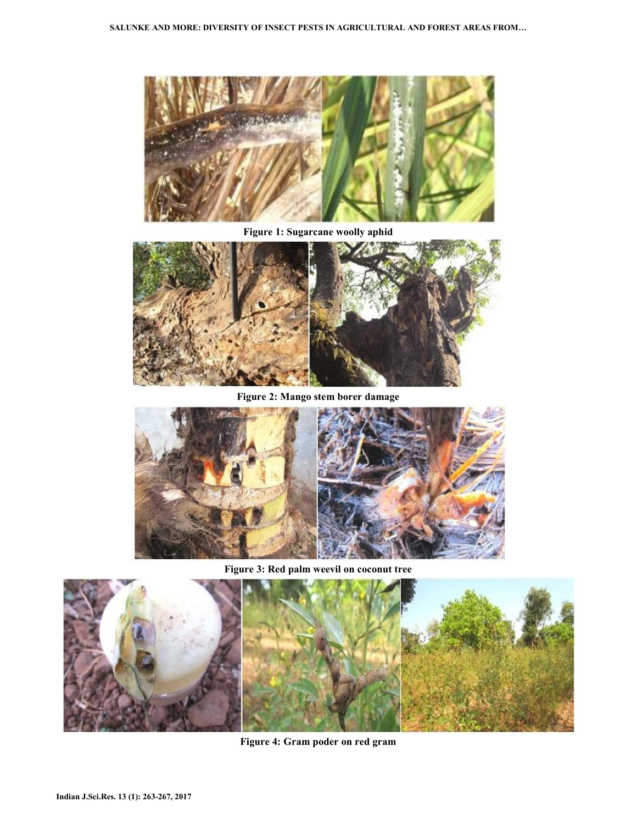

**Figure 1: Sugarcane woolly aphid** 



**Figure 2: Mango stem borer damage** 



**Figure 3: Red palm weevil on coconut tree** 



**Figure 4: Gram poder on red gram**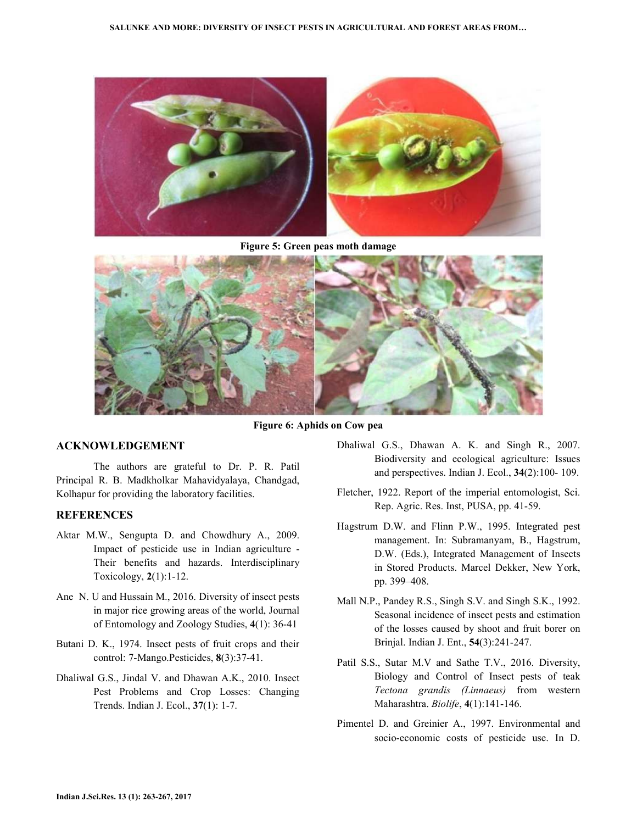

**Figure 5: Green peas moth damage** 



**Figure 6: Aphids on Cow pea**

### **ACKNOWLEDGEMENT**

 The authors are grateful to Dr. P. R. Patil Principal R. B. Madkholkar Mahavidyalaya, Chandgad, Kolhapur for providing the laboratory facilities.

## **REFERENCES**

- Aktar M.W., Sengupta D. and Chowdhury A., 2009. Impact of pesticide use in Indian agriculture - Their benefits and hazards. Interdisciplinary Toxicology, **2**(1):1-12.
- Ane N. U and Hussain M., 2016. Diversity of insect pests in major rice growing areas of the world, Journal of Entomology and Zoology Studies, **4**(1): 36-41
- Butani D. K., 1974. Insect pests of fruit crops and their control: 7-Mango.Pesticides, **8**(3):37-41.
- Dhaliwal G.S., Jindal V. and Dhawan A.K., 2010. Insect Pest Problems and Crop Losses: Changing Trends. Indian J. Ecol., **37**(1): 1-7.
- Dhaliwal G.S., Dhawan A. K. and Singh R., 2007. Biodiversity and ecological agriculture: Issues and perspectives. Indian J. Ecol., **34**(2):100- 109.
- Fletcher, 1922. Report of the imperial entomologist, Sci. Rep. Agric. Res. Inst, PUSA, pp. 41-59.
- Hagstrum D.W. and Flinn P.W., 1995. Integrated pest management. In: Subramanyam, B., Hagstrum, D.W. (Eds.), Integrated Management of Insects in Stored Products. Marcel Dekker, New York, pp. 399–408.
- Mall N.P., Pandey R.S., Singh S.V. and Singh S.K., 1992. Seasonal incidence of insect pests and estimation of the losses caused by shoot and fruit borer on Brinjal. Indian J. Ent., **54**(3):241-247.
- Patil S.S., Sutar M.V and Sathe T.V., 2016. Diversity, Biology and Control of Insect pests of teak *Tectona grandis (Linnaeus)* from western Maharashtra. *Biolife*, **4**(1):141-146.
- Pimentel D. and Greinier A., 1997. Environmental and socio-economic costs of pesticide use. In D.